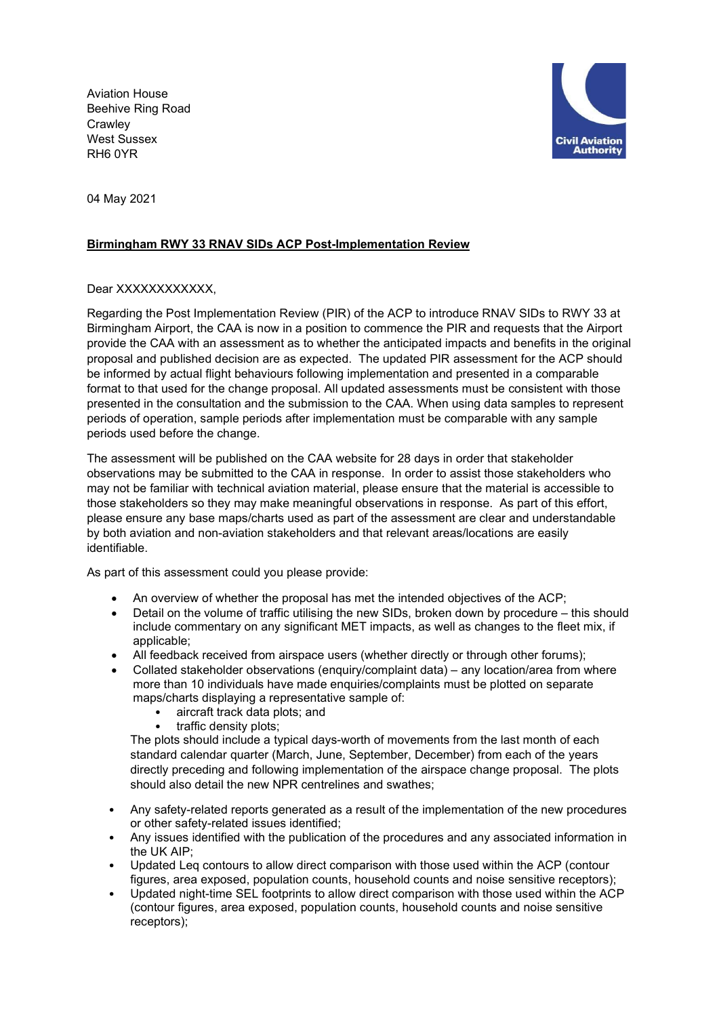Aviation House Beehive Ring Road **Crawley** West Sussex RH6 0YR



04 May 2021

## Birmingham RWY 33 RNAV SIDs ACP Post-Implementation Review

## Dear XXXXXXXXXXX.

Regarding the Post Implementation Review (PIR) of the ACP to introduce RNAV SIDs to RWY 33 at Birmingham Airport, the CAA is now in a position to commence the PIR and requests that the Airport provide the CAA with an assessment as to whether the anticipated impacts and benefits in the original proposal and published decision are as expected. The updated PIR assessment for the ACP should be informed by actual flight behaviours following implementation and presented in a comparable format to that used for the change proposal. All updated assessments must be consistent with those presented in the consultation and the submission to the CAA. When using data samples to represent periods of operation, sample periods after implementation must be comparable with any sample periods used before the change.

The assessment will be published on the CAA website for 28 days in order that stakeholder observations may be submitted to the CAA in response. In order to assist those stakeholders who may not be familiar with technical aviation material, please ensure that the material is accessible to those stakeholders so they may make meaningful observations in response. As part of this effort, please ensure any base maps/charts used as part of the assessment are clear and understandable by both aviation and non-aviation stakeholders and that relevant areas/locations are easily identifiable.

As part of this assessment could you please provide:

- An overview of whether the proposal has met the intended objectives of the ACP;
- Detail on the volume of traffic utilising the new SIDs, broken down by procedure this should include commentary on any significant MET impacts, as well as changes to the fleet mix, if applicable;
- All feedback received from airspace users (whether directly or through other forums);
- Collated stakeholder observations (enquiry/complaint data) any location/area from where more than 10 individuals have made enquiries/complaints must be plotted on separate maps/charts displaying a representative sample of:
	- aircraft track data plots; and
	- traffic density plots:

The plots should include a typical days-worth of movements from the last month of each standard calendar quarter (March, June, September, December) from each of the years directly preceding and following implementation of the airspace change proposal. The plots should also detail the new NPR centrelines and swathes;

- Any safety-related reports generated as a result of the implementation of the new procedures or other safety-related issues identified;
- Any issues identified with the publication of the procedures and any associated information in the UK AIP;
- Updated Leq contours to allow direct comparison with those used within the ACP (contour figures, area exposed, population counts, household counts and noise sensitive receptors);
- Updated night-time SEL footprints to allow direct comparison with those used within the ACP (contour figures, area exposed, population counts, household counts and noise sensitive receptors);